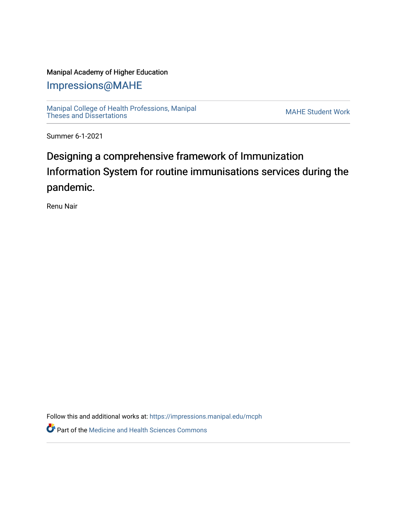#### Manipal Academy of Higher Education

[Impressions@MAHE](https://impressions.manipal.edu/)

[Manipal College of Health Professions, Manipal](https://impressions.manipal.edu/mcph) [Theses and Dissertations](https://impressions.manipal.edu/mcph) Mateur Channel Manners and Dissertations MAHE Student Work

Summer 6-1-2021

## Designing a comprehensive framework of Immunization Information System for routine immunisations services during the pandemic.

Renu Nair

Follow this and additional works at: [https://impressions.manipal.edu/mcph](https://impressions.manipal.edu/mcph?utm_source=impressions.manipal.edu%2Fmcph%2F15&utm_medium=PDF&utm_campaign=PDFCoverPages)

**Part of the Medicine and Health Sciences Commons**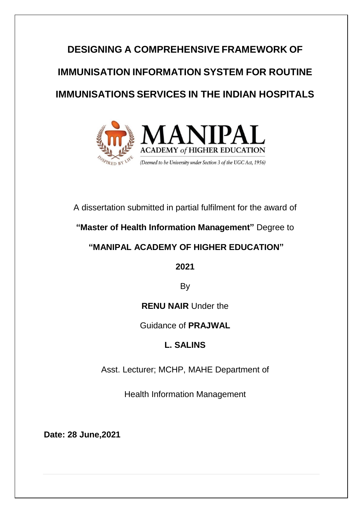# **DESIGNING A COMPREHENSIVE FRAMEWORK OF IMMUNISATION INFORMATION SYSTEM FOR ROUTINE IMMUNISATIONS SERVICES IN THE INDIAN HOSPITALS**



#### A dissertation submitted in partial fulfilment for the award of

#### **"Master of Health Information Management"** Degree to

#### **"MANIPAL ACADEMY OF HIGHER EDUCATION"**

**2021**

By

#### **RENU NAIR** Under the

#### Guidance of **PRAJWAL**

### **L. SALINS**

Asst. Lecturer; MCHP, MAHE Department of

Health Information Management

**Date: 28 June,2021**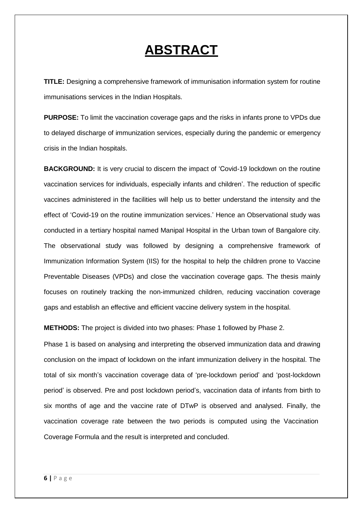## **ABSTRACT**

**TITLE:** Designing a comprehensive framework of immunisation information system for routine immunisations services in the Indian Hospitals.

**PURPOSE:** To limit the vaccination coverage gaps and the risks in infants prone to VPDs due to delayed discharge of immunization services, especially during the pandemic or emergency crisis in the Indian hospitals.

**BACKGROUND:** It is very crucial to discern the impact of 'Covid-19 lockdown on the routine vaccination services for individuals, especially infants and children'. The reduction of specific vaccines administered in the facilities will help us to better understand the intensity and the effect of 'Covid-19 on the routine immunization services.' Hence an Observational study was conducted in a tertiary hospital named Manipal Hospital in the Urban town of Bangalore city. The observational study was followed by designing a comprehensive framework of Immunization Information System (IIS) for the hospital to help the children prone to Vaccine Preventable Diseases (VPDs) and close the vaccination coverage gaps. The thesis mainly focuses on routinely tracking the non-immunized children, reducing vaccination coverage gaps and establish an effective and efficient vaccine delivery system in the hospital.

**METHODS:** The project is divided into two phases: Phase 1 followed by Phase 2.

Phase 1 is based on analysing and interpreting the observed immunization data and drawing conclusion on the impact of lockdown on the infant immunization delivery in the hospital. The total of six month's vaccination coverage data of 'pre-lockdown period' and 'post-lockdown period' is observed. Pre and post lockdown period's, vaccination data of infants from birth to six months of age and the vaccine rate of DTwP is observed and analysed. Finally, the vaccination coverage rate between the two periods is computed using the Vaccination Coverage Formula and the result is interpreted and concluded.